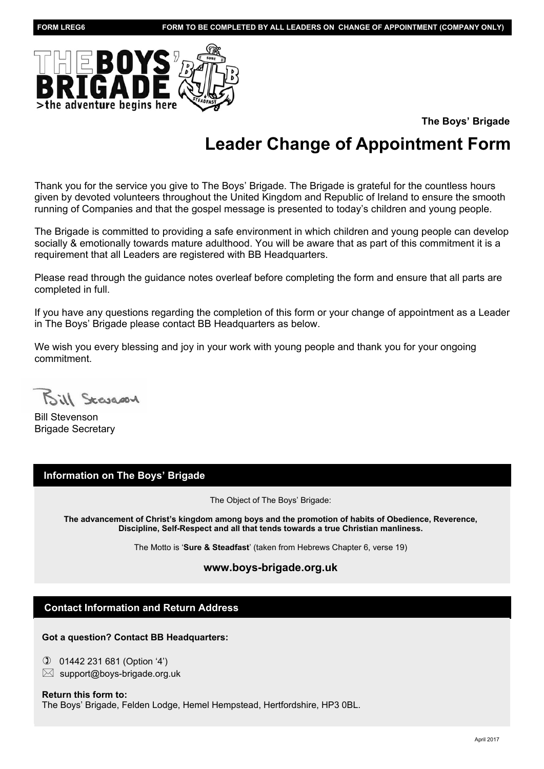

**The Boys' Brigade**

# **Leader Change of Appointment Form**

Thank you for the service you give to The Boys' Brigade. The Brigade is grateful for the countless hours given by devoted volunteers throughout the United Kingdom and Republic of Ireland to ensure the smooth running of Companies and that the gospel message is presented to today's children and young people.

The Brigade is committed to providing a safe environment in which children and young people can develop socially & emotionally towards mature adulthood. You will be aware that as part of this commitment it is a requirement that all Leaders are registered with BB Headquarters.

Please read through the guidance notes overleaf before completing the form and ensure that all parts are completed in full.

If you have any questions regarding the completion of this form or your change of appointment as a Leader in The Boys' Brigade please contact BB Headquarters as below.

We wish you every blessing and joy in your work with young people and thank you for your ongoing commitment.

Bill Scangory

Bill Stevenson Brigade Secretary

### **Information on The Boys' Brigade**

The Object of The Boys' Brigade:

**The advancement of Christ's kingdom among boys and the promotion of habits of Obedience, Reverence, Discipline, Self-Respect and all that tends towards a true Christian manliness.**

The Motto is '**Sure & Steadfast**' (taken from Hebrews Chapter 6, verse 19)

### **www.boys-brigade.org.uk**

### **Contact Information and Return Address**

**Got a question? Contact BB Headquarters:**

✆ 01442 231 681 (Option '4')  $\boxtimes$  support@boys-brigade.org.uk

### **Return this form to:**

The Boys' Brigade, Felden Lodge, Hemel Hempstead, Hertfordshire, HP3 0BL.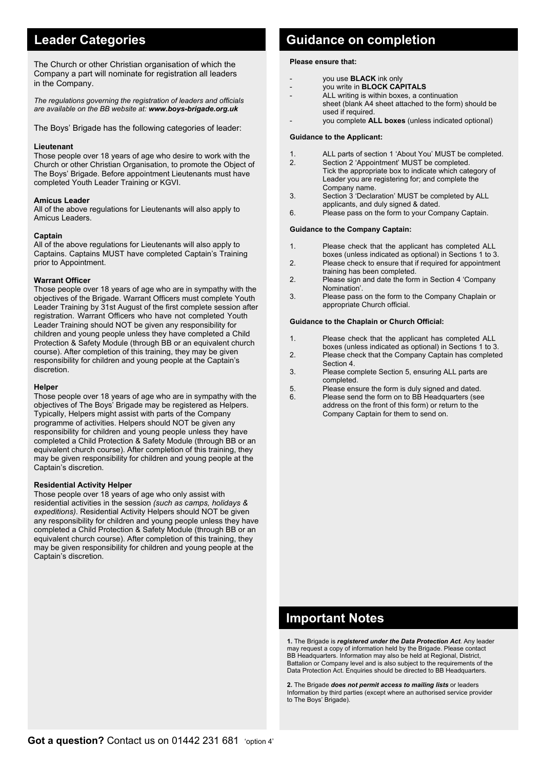The Church or other Christian organisation of which the Company a part will nominate for registration all leaders in the Company.

*The regulations governing the registration of leaders and officials are available on the BB website at: www.boys-brigade.org.uk*

The Boys' Brigade has the following categories of leader:

### **Lieutenant**

Those people over 18 years of age who desire to work with the Church or other Christian Organisation, to promote the Object of The Boys' Brigade. Before appointment Lieutenants must have completed Youth Leader Training or KGVI.

### **Amicus Leader**

All of the above regulations for Lieutenants will also apply to Amicus Leaders.

### **Captain**

All of the above regulations for Lieutenants will also apply to Captains. Captains MUST have completed Captain's Training prior to Appointment.

### **Warrant Officer**

Those people over 18 years of age who are in sympathy with the objectives of the Brigade. Warrant Officers must complete Youth Leader Training by 31st August of the first complete session after registration. Warrant Officers who have not completed Youth Leader Training should NOT be given any responsibility for children and young people unless they have completed a Child Protection & Safety Module (through BB or an equivalent church course). After completion of this training, they may be given responsibility for children and young people at the Captain's discretion.

#### **Helper**

Those people over 18 years of age who are in sympathy with the objectives of The Boys' Brigade may be registered as Helpers. Typically, Helpers might assist with parts of the Company programme of activities. Helpers should NOT be given any responsibility for children and young people unless they have completed a Child Protection & Safety Module (through BB or an equivalent church course). After completion of this training, they may be given responsibility for children and young people at the Captain's discretion.

### **Residential Activity Helper**

Those people over 18 years of age who only assist with residential activities in the session *(such as camps, holidays & expeditions)*. Residential Activity Helpers should NOT be given any responsibility for children and young people unless they have completed a Child Protection & Safety Module (through BB or an equivalent church course). After completion of this training, they may be given responsibility for children and young people at the Captain's discretion.

## **Leader Categories Categories Cuidance on completion**

### **Please ensure that:**

- you use **BLACK** ink only
- you write in **BLOCK CAPITALS**
- ALL writing is within boxes, a continuation sheet (blank A4 sheet attached to the form) should be used if required.
	- you complete **ALL boxes** (unless indicated optional)

#### **Guidance to the Applicant:**

- 1. ALL parts of section 1 'About You' MUST be completed.
- 2. Section 2 'Appointment' MUST be completed. Tick the appropriate box to indicate which category of Leader you are registering for; and complete the Company name.<br>3. Section 3 'Declar
- Section 3 'Declaration' MUST be completed by ALL applicants, and duly signed & dated.<br>6. Please pass on the form to your Cor
- Please pass on the form to your Company Captain.

#### **Guidance to the Company Captain:**

- 1. Please check that the applicant has completed ALL boxes (unless indicated as optional) in Sections 1 to 3.
- Please check to ensure that if required for appointment training has been completed.<br>Please sign and date the form
- Please sign and date the form in Section 4 'Company Nomination'.<br>3. Please pass
- Please pass on the form to the Company Chaplain or appropriate Church official.

#### **Guidance to the Chaplain or Church Official:**

- 1. Please check that the applicant has completed ALL boxes (unless indicated as optional) in Sections 1 to 3.
- 2. Please check that the Company Captain has completed Section 4.<br>3. Please co
- Please complete Section 5, ensuring ALL parts are completed.<br>B Please ens
- Please ensure the form is duly signed and dated.
- 6. Please send the form on to BB Headquarters (see address on the front of this form) or return to the Company Captain for them to send on.

### **Important Notes**

**1.** The Brigade is *registered under the Data Protection Act*. Any leader may request a copy of information held by the Brigade. Please contact BB Headquarters. Information may also be held at Regional, District, Battalion or Company level and is also subject to the requirements of the Data Protection Act. Enquiries should be directed to BB Headquarters.

**2.** The Brigade *does not permit access to mailing lists* or leaders Information by third parties (except where an authorised service provider to The Boys' Brigade).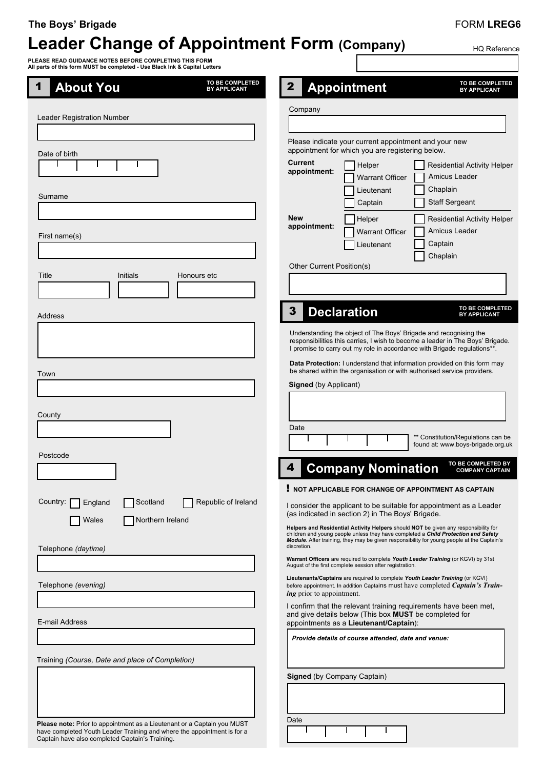### **The Boys' Brigade**

# **Leader Change of Appointment Form (Company)**

### FORM **LREG6**

 $\mathsf{I}$ 

HQ Reference

**PLEASE READ GUIDANCE NOTES BEFORE COMPLETING THIS FORM All parts of this form MUST be completed - Use Black Ink & Capital Letters**

| TO BE COMPLETED<br><b>About You</b><br>1<br><b>BY APPLICANT</b>                                                                                                                                       | TO BE COMPLETED<br><b>Appointment</b><br><b>BY APPLICANT</b>                                                                                                                                                                                                                           |
|-------------------------------------------------------------------------------------------------------------------------------------------------------------------------------------------------------|----------------------------------------------------------------------------------------------------------------------------------------------------------------------------------------------------------------------------------------------------------------------------------------|
| <b>Leader Registration Number</b>                                                                                                                                                                     | Company                                                                                                                                                                                                                                                                                |
|                                                                                                                                                                                                       |                                                                                                                                                                                                                                                                                        |
| Date of birth                                                                                                                                                                                         | Please indicate your current appointment and your new<br>appointment for which you are registering below.                                                                                                                                                                              |
|                                                                                                                                                                                                       | Current<br><b>Residential Activity Helper</b><br>Helper<br>appointment:<br>Amicus Leader<br><b>Warrant Officer</b>                                                                                                                                                                     |
| Surname                                                                                                                                                                                               | Chaplain<br>Lieutenant                                                                                                                                                                                                                                                                 |
|                                                                                                                                                                                                       | <b>Staff Sergeant</b><br>Captain                                                                                                                                                                                                                                                       |
| First name(s)                                                                                                                                                                                         | New<br>Helper<br><b>Residential Activity Helper</b><br>appointment:<br>Amicus Leader<br><b>Warrant Officer</b>                                                                                                                                                                         |
|                                                                                                                                                                                                       | Captain<br>Lieutenant<br>Chaplain                                                                                                                                                                                                                                                      |
| Title<br>Initials<br>Honours etc                                                                                                                                                                      | Other Current Position(s)                                                                                                                                                                                                                                                              |
|                                                                                                                                                                                                       |                                                                                                                                                                                                                                                                                        |
| Address                                                                                                                                                                                               | TO BE COMPLETED<br>3<br><b>Declaration</b><br><b>BY APPLICANT</b>                                                                                                                                                                                                                      |
|                                                                                                                                                                                                       | Understanding the object of The Boys' Brigade and recognising the                                                                                                                                                                                                                      |
|                                                                                                                                                                                                       | responsibilities this carries, I wish to become a leader in The Boys' Brigade.<br>I promise to carry out my role in accordance with Brigade regulations**.                                                                                                                             |
| Town                                                                                                                                                                                                  | Data Protection: I understand that information provided on this form may<br>be shared within the organisation or with authorised service providers.                                                                                                                                    |
|                                                                                                                                                                                                       | <b>Signed</b> (by Applicant)                                                                                                                                                                                                                                                           |
| County                                                                                                                                                                                                |                                                                                                                                                                                                                                                                                        |
|                                                                                                                                                                                                       | Date                                                                                                                                                                                                                                                                                   |
| Postcode                                                                                                                                                                                              | ** Constitution/Regulations can be<br>found at: www.boys-brigade.org.uk                                                                                                                                                                                                                |
|                                                                                                                                                                                                       | TO BE COMPLETED BY<br>4<br><b>Company Nomination</b><br><b>COMPANY CAPTAIN</b>                                                                                                                                                                                                         |
|                                                                                                                                                                                                       | NOT APPLICABLE FOR CHANGE OF APPOINTMENT AS CAPTAIN                                                                                                                                                                                                                                    |
| Republic of Ireland<br>Country:<br>Scotland<br>England<br>Northern Ireland<br>Wales                                                                                                                   | I consider the applicant to be suitable for appointment as a Leader<br>(as indicated in section 2) in The Boys' Brigade.                                                                                                                                                               |
|                                                                                                                                                                                                       | Helpers and Residential Activity Helpers should NOT be given any responsibility for<br>children and young people unless they have completed a Child Protection and Safety<br>Module. After training, they may be given responsibility for young people at the Captain's<br>discretion. |
| Telephone (daytime)                                                                                                                                                                                   | Warrant Officers are required to complete Youth Leader Training (or KGVI) by 31st<br>August of the first complete session after registration.                                                                                                                                          |
| Telephone (evening)                                                                                                                                                                                   | Lieutenants/Captains are required to complete Youth Leader Training (or KGVI)<br>before appointment. In addition Captains must have completed <i>Captain's Train</i> -<br><i>ing</i> prior to appointment.                                                                             |
| E-mail Address                                                                                                                                                                                        | I confirm that the relevant training requirements have been met,<br>and give details below (This box <b>MUST</b> be completed for<br>appointments as a Lieutenant/Captain):                                                                                                            |
|                                                                                                                                                                                                       | Provide details of course attended, date and venue:                                                                                                                                                                                                                                    |
| Training (Course, Date and place of Completion)                                                                                                                                                       |                                                                                                                                                                                                                                                                                        |
|                                                                                                                                                                                                       | Signed (by Company Captain)                                                                                                                                                                                                                                                            |
|                                                                                                                                                                                                       |                                                                                                                                                                                                                                                                                        |
|                                                                                                                                                                                                       | Date                                                                                                                                                                                                                                                                                   |
| Please note: Prior to appointment as a Lieutenant or a Captain you MUST<br>have completed Youth Leader Training and where the appointment is for a<br>Captain have also completed Captain's Training. |                                                                                                                                                                                                                                                                                        |